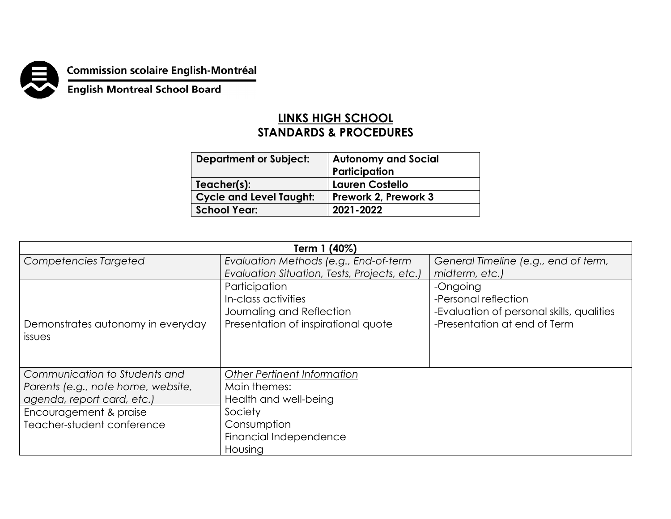

**Commission scolaire English-Montréal<br>English Montreal School Board** 

## **LINKS HIGH SCHOOL STANDARDS & PROCEDURES**

| <b>Department or Subject:</b>  | <b>Autonomy and Social</b><br>Participation |
|--------------------------------|---------------------------------------------|
| Teacher(s):                    | <b>Lauren Costello</b>                      |
| <b>Cycle and Level Taught:</b> | Prework 2, Prework 3                        |
| <b>School Year:</b>            | 2021-2022                                   |
|                                |                                             |

| Term 1 (40%)                       |                                              |                                           |  |  |
|------------------------------------|----------------------------------------------|-------------------------------------------|--|--|
| Competencies Targeted              | Evaluation Methods (e.g., End-of-term        | General Timeline (e.g., end of term,      |  |  |
|                                    | Evaluation Situation, Tests, Projects, etc.) | midterm, etc.)                            |  |  |
|                                    | Participation                                | -Ongoing                                  |  |  |
|                                    | In-class activities                          | -Personal reflection                      |  |  |
|                                    | Journaling and Reflection                    | -Evaluation of personal skills, qualities |  |  |
| Demonstrates autonomy in everyday  | Presentation of inspirational quote          | -Presentation at end of Term              |  |  |
| <i><b>issues</b></i>               |                                              |                                           |  |  |
|                                    |                                              |                                           |  |  |
|                                    |                                              |                                           |  |  |
| Communication to Students and      | Other Pertinent Information                  |                                           |  |  |
| Parents (e.g., note home, website, | Main themes:                                 |                                           |  |  |
| agenda, report card, etc.)         | Health and well-being                        |                                           |  |  |
| Encouragement & praise             | Society                                      |                                           |  |  |
| Teacher-student conference         | Consumption                                  |                                           |  |  |
|                                    | Financial Independence                       |                                           |  |  |
|                                    | Housing                                      |                                           |  |  |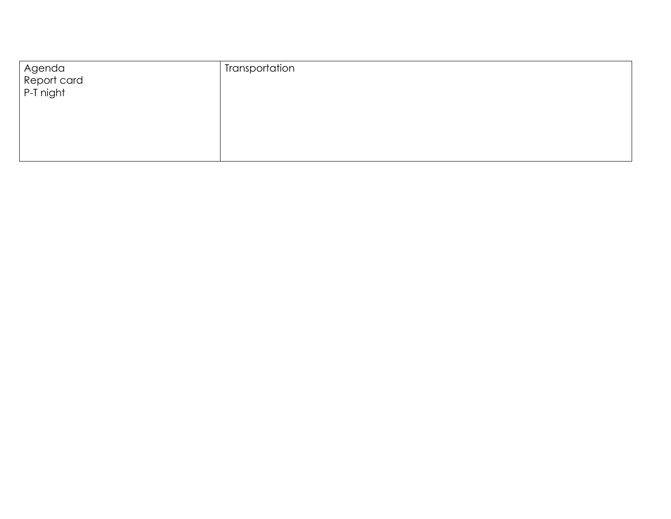|                                    | Transportation |
|------------------------------------|----------------|
| Agenda<br>Report card<br>P-T night |                |
|                                    |                |
|                                    |                |
|                                    |                |
|                                    |                |
|                                    |                |
|                                    |                |